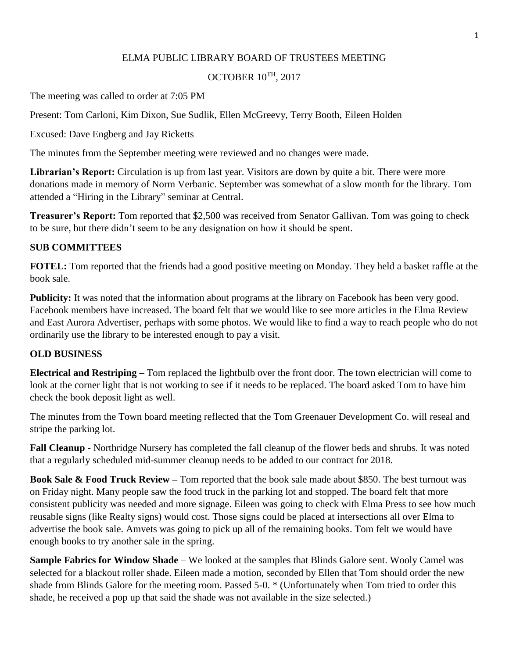### ELMA PUBLIC LIBRARY BOARD OF TRUSTEES MEETING

# OCTOBER 10TH, 2017

The meeting was called to order at 7:05 PM

Present: Tom Carloni, Kim Dixon, Sue Sudlik, Ellen McGreevy, Terry Booth, Eileen Holden

Excused: Dave Engberg and Jay Ricketts

The minutes from the September meeting were reviewed and no changes were made.

Librarian's Report: Circulation is up from last year. Visitors are down by quite a bit. There were more donations made in memory of Norm Verbanic. September was somewhat of a slow month for the library. Tom attended a "Hiring in the Library" seminar at Central.

**Treasurer's Report:** Tom reported that \$2,500 was received from Senator Gallivan. Tom was going to check to be sure, but there didn't seem to be any designation on how it should be spent.

# **SUB COMMITTEES**

**FOTEL:** Tom reported that the friends had a good positive meeting on Monday. They held a basket raffle at the book sale.

**Publicity:** It was noted that the information about programs at the library on Facebook has been very good. Facebook members have increased. The board felt that we would like to see more articles in the Elma Review and East Aurora Advertiser, perhaps with some photos. We would like to find a way to reach people who do not ordinarily use the library to be interested enough to pay a visit.

# **OLD BUSINESS**

**Electrical and Restriping –** Tom replaced the lightbulb over the front door. The town electrician will come to look at the corner light that is not working to see if it needs to be replaced. The board asked Tom to have him check the book deposit light as well.

The minutes from the Town board meeting reflected that the Tom Greenauer Development Co. will reseal and stripe the parking lot.

**Fall Cleanup -** Northridge Nursery has completed the fall cleanup of the flower beds and shrubs. It was noted that a regularly scheduled mid-summer cleanup needs to be added to our contract for 2018.

**Book Sale & Food Truck Review –** Tom reported that the book sale made about \$850. The best turnout was on Friday night. Many people saw the food truck in the parking lot and stopped. The board felt that more consistent publicity was needed and more signage. Eileen was going to check with Elma Press to see how much reusable signs (like Realty signs) would cost. Those signs could be placed at intersections all over Elma to advertise the book sale. Amvets was going to pick up all of the remaining books. Tom felt we would have enough books to try another sale in the spring.

**Sample Fabrics for Window Shade** – We looked at the samples that Blinds Galore sent. Wooly Camel was selected for a blackout roller shade. Eileen made a motion, seconded by Ellen that Tom should order the new shade from Blinds Galore for the meeting room. Passed 5-0. \* (Unfortunately when Tom tried to order this shade, he received a pop up that said the shade was not available in the size selected.)